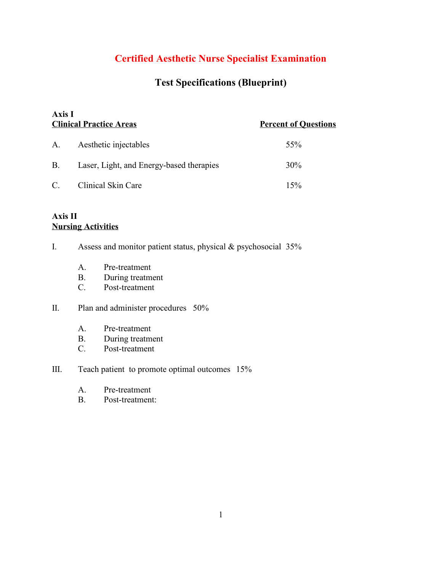# **Certified Aesthetic Nurse Specialist Examination**

# **Test Specifications (Blueprint)**

| <b>Axis I</b><br><b>Clinical Practice Areas</b> |                                          | <b>Percent of Questions</b> |  |
|-------------------------------------------------|------------------------------------------|-----------------------------|--|
| A.                                              | Aesthetic injectables                    | 55%                         |  |
| <b>B.</b>                                       | Laser, Light, and Energy-based therapies | $30\%$                      |  |
| $\mathcal{C}$ .                                 | Clinical Skin Care                       | 15%                         |  |

## **Axis II Nursing Activities**

- I. Assess and monitor patient status, physical & psychosocial 35%
	- A. Pre-treatment
	- B. During treatment
	- C. Post-treatment

#### II. Plan and administer procedures 50%

- A. Pre-treatment
- B. During treatment
- C. Post-treatment

### III. Teach patient to promote optimal outcomes 15%

- A. Pre-treatment
- B. Post-treatment: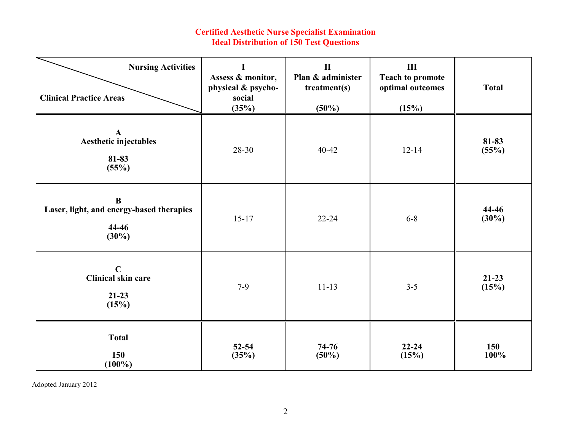#### **Certified Aesthetic Nurse Specialist Examination Ideal Distribution of 150 Test Questions**

| <b>Nursing Activities</b><br><b>Clinical Practice Areas</b>               | Assess & monitor,<br>physical & psycho-<br>social<br>(35%) | $\mathbf{I}$<br>Plan & administer<br>treatment(s)<br>$(50\%)$ | $\rm III$<br><b>Teach to promote</b><br>optimal outcomes<br>(15%) | <b>Total</b>      |  |
|---------------------------------------------------------------------------|------------------------------------------------------------|---------------------------------------------------------------|-------------------------------------------------------------------|-------------------|--|
| $\mathbf A$<br>Aesthetic injectables<br>81-83<br>(55%)                    | 28-30                                                      | 40-42                                                         | $12 - 14$                                                         | 81-83<br>(55%)    |  |
| $\bf{B}$<br>Laser, light, and energy-based therapies<br>44-46<br>$(30\%)$ | $15 - 17$                                                  | $22 - 24$                                                     | $6 - 8$                                                           | 44-46<br>$(30\%)$ |  |
| $\mathbf C$<br>Clinical skin care<br>$21-23$<br>(15%)                     | $7-9$                                                      | $11 - 13$                                                     | $3 - 5$                                                           | $21-23$<br>(15%)  |  |
| <b>Total</b><br>150<br>$(100\%)$                                          | $52 - 54$<br>(35%)                                         | $74 - 76$<br>(50%)                                            | $22 - 24$<br>(15%)                                                | 150<br>100%       |  |

Adopted January 2012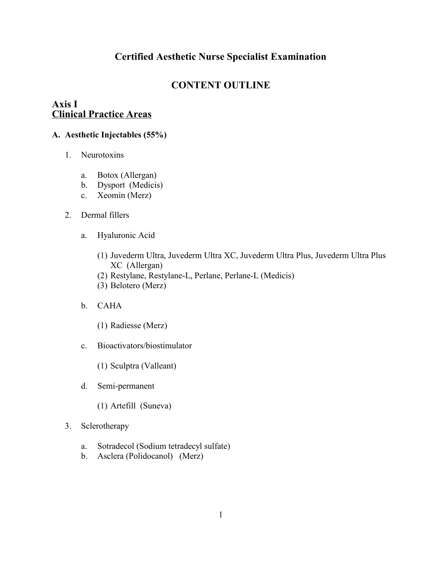# **Certified Aesthetic Nurse Specialist Examination**

# **CONTENT OUTLINE**

# **Axis I Clinical Practice Areas**

## **A. Aesthetic Injectables (55%)**

- 1. Neurotoxins
	- a. Botox (Allergan)
	- b. Dysport (Medicis)
	- c. Xeomin (Merz)
- 2. Dermal fillers
	- a. Hyaluronic Acid
		- (1) Juvederm Ultra, Juvederm Ultra XC, Juvederm Ultra Plus, Juvederm Ultra Plus XC (Allergan)
		- (2) Restylane, Restylane-L, Perlane, Perlane-L (Medicis)
		- (3) Belotero (Merz)
	- b. CAHA
		- (1) Radiesse (Merz)
	- c. Bioactivators/biostimulator
		- (1) Sculptra (Valleant)
	- d. Semi-permanent
		- (1) Artefill (Suneva)
- 3. Sclerotherapy
	- a. Sotradecol (Sodium tetradecyl sulfate)
	- b. Asclera (Polidocanol) (Merz)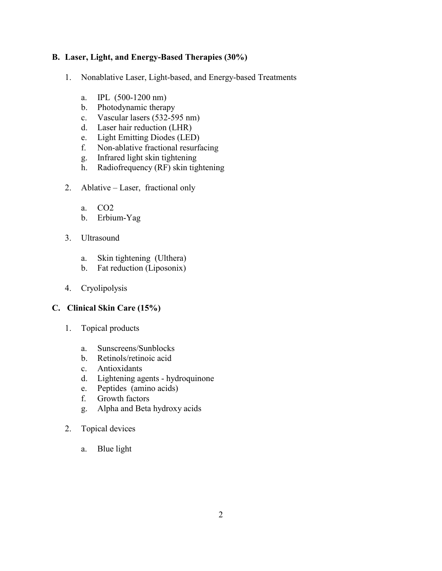#### **B. Laser, Light, and Energy-Based Therapies (30%)**

- 1. Nonablative Laser, Light-based, and Energy-based Treatments
	- a. IPL (500-1200 nm)
	- b. Photodynamic therapy
	- c. Vascular lasers (532-595 nm)
	- d. Laser hair reduction (LHR)
	- e. Light Emitting Diodes (LED)
	- f. Non-ablative fractional resurfacing
	- g. Infrared light skin tightening
	- h. Radiofrequency (RF) skin tightening
- 2. Ablative Laser, fractional only
	- a. CO2
	- b. Erbium-Yag
- 3. Ultrasound
	- a. Skin tightening (Ulthera)
	- b. Fat reduction (Liposonix)
- 4. Cryolipolysis

### **C. Clinical Skin Care (15%)**

- 1. Topical products
	- a. Sunscreens/Sunblocks
	- b. Retinols/retinoic acid
	- c. Antioxidants
	- d. Lightening agents hydroquinone
	- e. Peptides (amino acids)
	- f. Growth factors
	- g. Alpha and Beta hydroxy acids
- 2. Topical devices
	- a. Blue light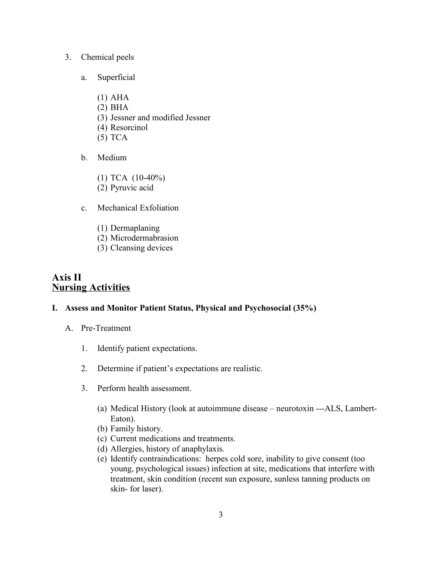#### 3. Chemical peels

- a. Superficial
	- (1) AHA
	- (2) BHA
	- (3) Jessner and modified Jessner
	- (4) Resorcinol
	- (5) TCA
- b. Medium
	- (1) TCA (10-40%)
	- (2) Pyruvic acid
- c. Mechanical Exfoliation
	- (1) Dermaplaning
	- (2) Microdermabrasion
	- (3) Cleansing devices

# **Axis II Nursing Activities**

#### **I. Assess and Monitor Patient Status, Physical and Psychosocial (35%)**

- A. Pre-Treatment
	- 1. Identify patient expectations.
	- 2. Determine if patient's expectations are realistic.
	- 3. Perform health assessment.
		- (a) Medical History (look at autoimmune disease neurotoxin ---ALS, Lambert-Eaton).
		- (b) Family history.
		- (c) Current medications and treatments.
		- (d) Allergies, history of anaphylaxis.
		- (e) Identify contraindications: herpes cold sore, inability to give consent (too young, psychological issues) infection at site, medications that interfere with treatment, skin condition (recent sun exposure, sunless tanning products on skin- for laser).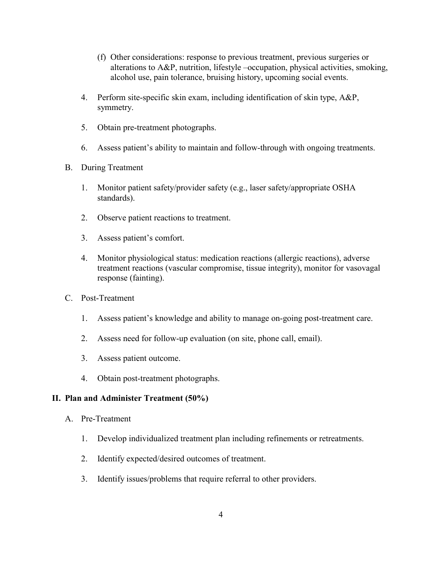- (f) Other considerations: response to previous treatment, previous surgeries or alterations to A&P, nutrition, lifestyle –occupation, physical activities, smoking, alcohol use, pain tolerance, bruising history, upcoming social events.
- 4. Perform site-specific skin exam, including identification of skin type, A&P, symmetry.
- 5. Obtain pre-treatment photographs.
- 6. Assess patient's ability to maintain and follow-through with ongoing treatments.
- B. During Treatment
	- 1. Monitor patient safety/provider safety (e.g., laser safety/appropriate OSHA standards).
	- 2. Observe patient reactions to treatment.
	- 3. Assess patient's comfort.
	- 4. Monitor physiological status: medication reactions (allergic reactions), adverse treatment reactions (vascular compromise, tissue integrity), monitor for vasovagal response (fainting).
- C. Post-Treatment
	- 1. Assess patient's knowledge and ability to manage on-going post-treatment care.
	- 2. Assess need for follow-up evaluation (on site, phone call, email).
	- 3. Assess patient outcome.
	- 4. Obtain post-treatment photographs.

#### **II. Plan and Administer Treatment (50%)**

- A. Pre-Treatment
	- 1. Develop individualized treatment plan including refinements or retreatments.
	- 2. Identify expected/desired outcomes of treatment.
	- 3. Identify issues/problems that require referral to other providers.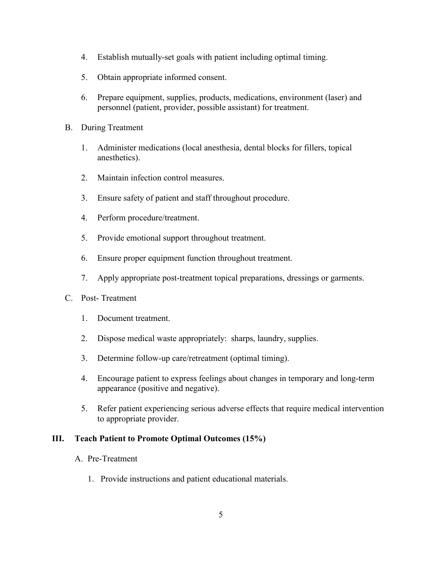- 4. Establish mutually-set goals with patient including optimal timing.
- 5. Obtain appropriate informed consent.
- 6. Prepare equipment, supplies, products, medications, environment (laser) and personnel (patient, provider, possible assistant) for treatment.
- B. During Treatment
	- 1. Administer medications (local anesthesia, dental blocks for fillers, topical anesthetics).
	- 2. Maintain infection control measures.
	- 3. Ensure safety of patient and staff throughout procedure.
	- 4. Perform procedure/treatment.
	- 5. Provide emotional support throughout treatment.
	- 6. Ensure proper equipment function throughout treatment.
	- 7. Apply appropriate post-treatment topical preparations, dressings or garments.
- C. Post- Treatment
	- 1. Document treatment.
	- 2. Dispose medical waste appropriately: sharps, laundry, supplies.
	- 3. Determine follow-up care/retreatment (optimal timing).
	- 4. Encourage patient to express feelings about changes in temporary and long-term appearance (positive and negative).
	- 5. Refer patient experiencing serious adverse effects that require medical intervention to appropriate provider.

#### **III. Teach Patient to Promote Optimal Outcomes (15%)**

- A. Pre-Treatment
	- 1. Provide instructions and patient educational materials.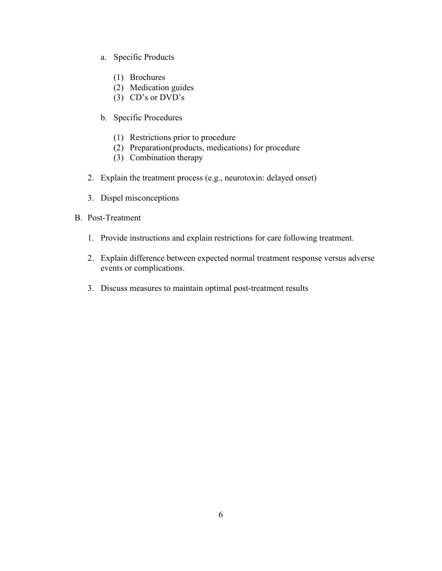- a. Specific Products
	- (1) Brochures
	- (2) Medication guides
	- $(3)$  CD's or DVD's
- b. Specific Procedures
	- (1) Restrictions prior to procedure
	- (2) Preparation(products, medications) for procedure
	- (3) Combination therapy
- 2. Explain the treatment process (e.g., neurotoxin: delayed onset)
- 3. Dispel misconceptions
- B. Post-Treatment
	- 1. Provide instructions and explain restrictions for care following treatment.
	- 2. Explain difference between expected normal treatment response versus adverse events or complications.
	- 3. Discuss measures to maintain optimal post-treatment results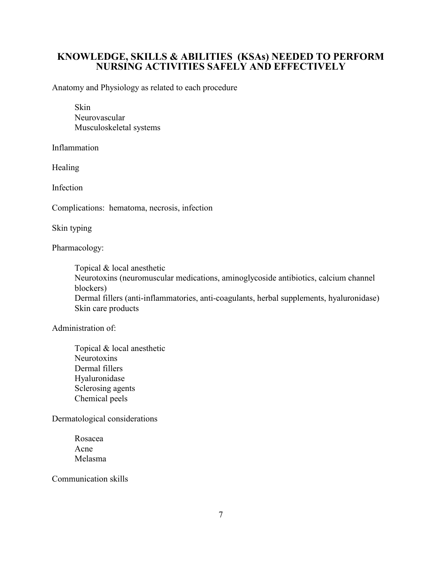# **KNOWLEDGE, SKILLS & ABILITIES (KSAs) NEEDED TO PERFORM NURSING ACTIVITIES SAFELY AND EFFECTIVELY**

Anatomy and Physiology as related to each procedure

Skin Neurovascular Musculoskeletal systems

Inflammation

Healing

Infection

Complications: hematoma, necrosis, infection

Skin typing

Pharmacology:

Topical & local anesthetic

Neurotoxins (neuromuscular medications, aminoglycoside antibiotics, calcium channel blockers)

Dermal fillers (anti-inflammatories, anti-coagulants, herbal supplements, hyaluronidase) Skin care products

Administration of:

Topical & local anesthetic **Neurotoxins** Dermal fillers Hyaluronidase Sclerosing agents Chemical peels

Dermatological considerations

Rosacea Acne Melasma

Communication skills